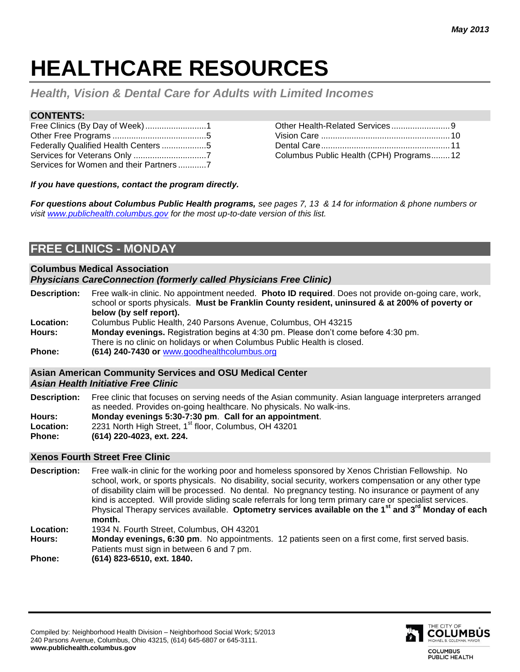# **HEALTHCARE RESOURCES**

*Health, Vision & Dental Care for Adults with Limited Incomes* 

## **CONTENTS:**

| Federally Qualified Health Centers 5   |  |
|----------------------------------------|--|
|                                        |  |
| Services for Women and their Partners7 |  |

| Columbus Public Health (CPH) Programs12 |  |
|-----------------------------------------|--|

*If you have questions, contact the program directly.* 

*For questions about Columbus Public Health programs, see pages 7, 13 & 14 for information & phone numbers or visit [www.publichealth.columbus.gov](http://www.publichealth.columbus.gov/) for the most up-to-date version of this list.*

# **FREE CLINICS - MONDAY**

#### **Columbus Medical Association** *Physicians CareConnection (formerly called Physicians Free Clinic)*

- **Description:** Free walk-in clinic. No appointment needed. **Photo ID required**. Does not provide on-going care, work, school or sports physicals. **Must be Franklin County resident, uninsured & at 200% of poverty or below (by self report).**
- **Location:** Columbus Public Health, 240 Parsons Avenue, Columbus, OH 43215 **Hours: Monday evenings.** Registration begins at 4:30 pm. Please don't come before 4:30 pm.
- There is no clinic on holidays or when Columbus Public Health is closed.
- **Phone: (614) 240-7430 or** [www.goodhealthcolumbus.org](http://www.goodhealthcolumbus.org/)

## **Asian American Community Services and OSU Medical Center**

*Asian Health Initiative Free Clinic*

**Description:** Free clinic that focuses on serving needs of the Asian community. Asian language interpreters arranged as needed. Provides on-going healthcare. No physicals. No walk-ins. **Hours: Monday evenings 5:30-7:30 pm**. **Call for an appointment**. Location: 2231 North High Street, 1<sup>st</sup> floor, Columbus, OH 43201

**Phone: (614) 220-4023, ext. 224.**

## **Xenos Fourth Street Free Clinic**

**Description:** Free walk-in clinic for the working poor and homeless sponsored by Xenos Christian Fellowship. No school, work, or sports physicals. No disability, social security, workers compensation or any other type of disability claim will be processed. No dental. No pregnancy testing. No insurance or payment of any kind is accepted. Will provide sliding scale referrals for long term primary care or specialist services. Physical Therapy services available. **Optometry services available on the 1st and 3rd Monday of each month.**

**Location:** 1934 N. Fourth Street, Columbus, OH 43201

**Hours: Monday evenings, 6:30 pm**. No appointments. 12 patients seen on a first come, first served basis. Patients must sign in between 6 and 7 pm.

**Phone: (614) 823-6510, ext. 1840.**

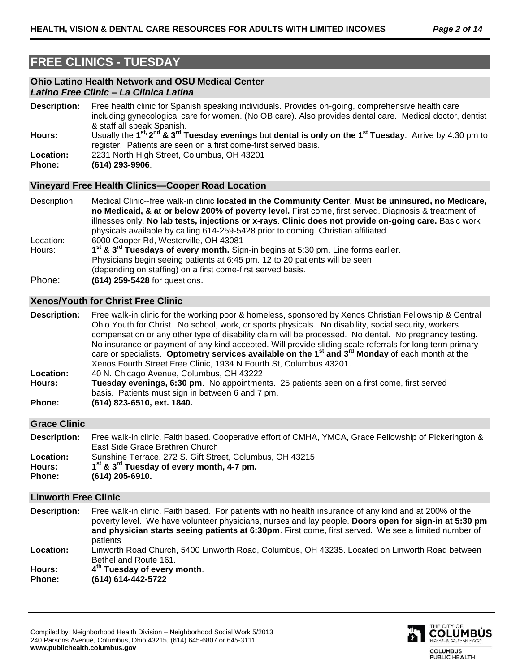# **FREE CLINICS - TUESDAY**

## **Ohio Latino Health Network and OSU Medical Center** *Latino Free Clinic – La Clinica Latina*

**Description:** Free health clinic for Spanish speaking individuals. Provides on-going, comprehensive health care including gynecological care for women. (No OB care). Also provides dental care. Medical doctor, dentist & staff all speak Spanish. **Hours:** Usually the **1 st, 2 nd & 3rd Tuesday evenings** but **dental is only on the 1st Tuesday**. Arrive by 4:30 pm to register. Patients are seen on a first come-first served basis.

- **Location:** 2231 North High Street, Columbus, OH 43201
- **Phone: (614) 293-9906**.

## **Vineyard Free Health Clinics—Cooper Road Location**

Description: Medical Clinic--free walk-in clinic **located in the Community Center**. **Must be uninsured, no Medicare, no Medicaid, & at or below 200% of poverty level.** First come, first served. Diagnosis & treatment of illnesses only. **No lab tests, injections or x-rays**. **Clinic does not provide on-going care.** Basic work physicals available by calling 614-259-5428 prior to coming. Christian affiliated. Location: 6000 Cooper Rd, Westerville, OH 43081 Hours: **st & 3rd Tuesdays of every month.** Sign-in begins at 5:30 pm. Line forms earlier. Physicians begin seeing patients at 6:45 pm. 12 to 20 patients will be seen (depending on staffing) on a first come-first served basis.

Phone: **(614) 259-5428** for questions.

## **Xenos/Youth for Christ Free Clinic**

**Description:** Free walk-in clinic for the working poor & homeless, sponsored by Xenos Christian Fellowship & Central Ohio Youth for Christ. No school, work, or sports physicals. No disability, social security, workers compensation or any other type of disability claim will be processed. No dental. No pregnancy testing. No insurance or payment of any kind accepted. Will provide sliding scale referrals for long term primary care or specialists. **Optometry services available on the 1st and 3rd Monday** of each month at the Xenos Fourth Street Free Clinic, 1934 N Fourth St, Columbus 43201. **Location:** 40 N. Chicago Avenue, Columbus, OH 43222

- **Hours: Tuesday evenings, 6:30 pm**. No appointments. 25 patients seen on a first come, first served basis. Patients must sign in between 6 and 7 pm.
- **Phone: (614) 823-6510, ext. 1840.**

## **Grace Clinic**

**Description:** Free walk-in clinic. Faith based. Cooperative effort of CMHA, YMCA, Grace Fellowship of Pickerington & East Side Grace Brethren Church **Location:** Sunshine Terrace, 272 S. Gift Street, Columbus, OH 43215

- **Hours: 1 st & 3rd Tuesday of every month, 4-7 pm.**
- **Phone: (614) 205-6910.**

## **Linworth Free Clinic**

**Description:** Free walk-in clinic. Faith based. For patients with no health insurance of any kind and at 200% of the poverty level. We have volunteer physicians, nurses and lay people. **Doors open for sign-in at 5:30 pm and physician starts seeing patients at 6:30pm**. First come, first served. We see a limited number of patients

**Location:** Linworth Road Church, 5400 Linworth Road, Columbus, OH 43235. Located on Linworth Road between Bethel and Route 161.

**Hours: 4 th Tuesday of every month**. **Phone: (614) 614-442-5722**

Compiled by: Neighborhood Health Division – Neighborhood Social Work 5/2013 240 Parsons Avenue, Columbus, Ohio 43215, (614) 645-6807 or 645-3111. **www.publichealth.columbus.gov**

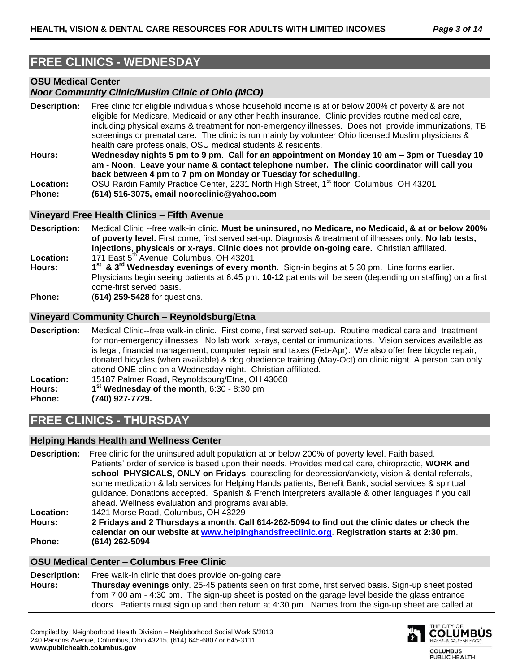# **FREE CLINICS - WEDNESDAY**

## **OSU Medical Center**

## *Noor Community Clinic/Muslim Clinic of Ohio (MCO)*

- **Description:** Free clinic for eligible individuals whose household income is at or below 200% of poverty & are not eligible for Medicare, Medicaid or any other health insurance. Clinic provides routine medical care, including physical exams & treatment for non-emergency illnesses. Does not provide immunizations, TB screenings or prenatal care. The clinic is run mainly by volunteer Ohio licensed Muslim physicians & health care professionals, OSU medical students & residents. **Hours: Wednesday nights 5 pm to 9 pm**. **Call for an appointment on Monday 10 am – 3pm or Tuesday 10 am - Noon**. **Leave your name & contact telephone number. The clinic coordinator will call you**
- **back between 4 pm to 7 pm on Monday or Tuesday for scheduling**.
- Location: OSU Rardin Family Practice Center, 2231 North High Street, 1<sup>st</sup> floor, Columbus, OH 43201
- **Phone: (614) 516-3075, email noorcclinic@yahoo.com**

## **Vineyard Free Health Clinics – Fifth Avenue**

- **Description:** Medical Clinic --free walk-in clinic. **Must be uninsured, no Medicare, no Medicaid, & at or below 200% of poverty level.** First come, first served set-up. Diagnosis & treatment of illnesses only. **No lab tests, injections, physicals or x-rays**. **Clinic does not provide on-going care.** Christian affiliated. **Location:** 171 East 5<sup>th</sup> Avenue, Columbus, OH 43201
- **Hours: 1 st & 3rd Wednesday evenings of every month.** Sign-in begins at 5:30 pm. Line forms earlier. Physicians begin seeing patients at 6:45 pm. **10-12** patients will be seen (depending on staffing) on a first come-first served basis.
- **Phone:** (**614) 259-5428** for questions.

## **Vineyard Community Church – Reynoldsburg/Etna**

**Description:** Medical Clinic--free walk-in clinic. First come, first served set-up. Routine medical care and treatment for non-emergency illnesses. No lab work, x-rays, dental or immunizations. Vision services available as is legal, financial management, computer repair and taxes (Feb-Apr). We also offer free bicycle repair, donated bicycles (when available) & dog obedience training (May-Oct) on clinic night. A person can only attend ONE clinic on a Wednesday night. Christian affiliated. **Location:** 15187 Palmer Road, Reynoldsburg/Etna, OH 43068 **Hours: 1 st Wednesday of the month**, 6:30 - 8:30 pm **Phone: (740) 927-7729.**

# **FREE CLINICS - THURSDAY**

## **Helping Hands Health and Wellness Center**

**Description:** Free clinic for the uninsured adult population at or below 200% of poverty level. Faith based. Patients' order of service is based upon their needs. Provides medical care, chiropractic, **WORK and school PHYSICALS, ONLY on Fridays**, counseling for depression/anxiety, vision & dental referrals, some medication & lab services for Helping Hands patients, Benefit Bank, social services & spiritual guidance. Donations accepted. Spanish & French interpreters available & other languages if you call ahead. Wellness evaluation and programs available. **Location:** 1421 Morse Road, Columbus, OH 43229 **Hours: 2 Fridays and 2 Thursdays a month**. **Call 614-262-5094 to find out the clinic dates or check the** 

**calendar on our website at [www.helpinghandsfreeclinic.org](http://www.helpinghandsfreeclinic.org/)**. **Registration starts at 2:30 pm**. **Phone: (614) 262-5094**

## **OSU Medical Center – Columbus Free Clinic**

**Description:** Free walk-in clinic that does provide on-going care. **Hours: Thursday evenings only**. 25-45 patients seen on first come, first served basis. Sign-up sheet posted from 7:00 am - 4:30 pm. The sign-up sheet is posted on the garage level beside the glass entrance doors. Patients must sign up and then return at 4:30 pm. Names from the sign-up sheet are called at



**COLUMBUS** PUBLIC HEALTH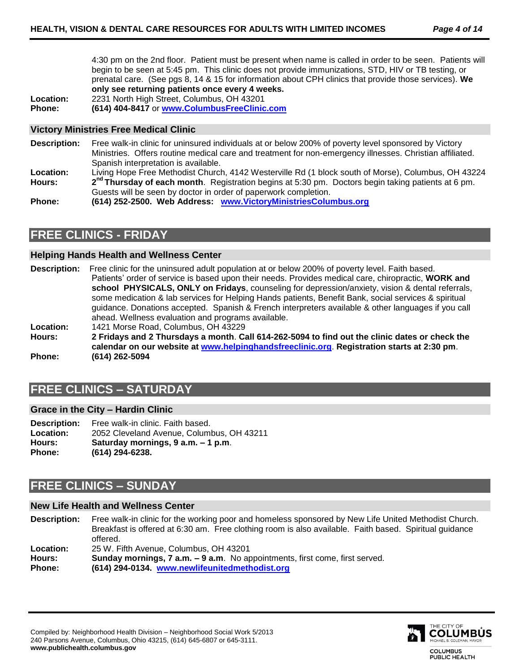4:30 pm on the 2nd floor. Patient must be present when name is called in order to be seen. Patients will begin to be seen at 5:45 pm. This clinic does not provide immunizations, STD, HIV or TB testing, or prenatal care. (See pgs 8, 14 & 15 for information about CPH clinics that provide those services). **We only see returning patients once every 4 weeks.**

**Location:** 2231 North High Street, Columbus, OH 43201 **Phone: (614) 404-8417** or **[www.ColumbusFreeClinic.com](http://www.columbusfreeclinic.com/)**

## **Victory Ministries Free Medical Clinic**

- **Description:** Free walk-in clinic for uninsured individuals at or below 200% of poverty level sponsored by Victory Ministries. Offers routine medical care and treatment for non-emergency illnesses. Christian affiliated. Spanish interpretation is available.
- **Location:** Living Hope Free Methodist Church, 4142 Westerville Rd (1 block south of Morse), Columbus, OH 43224 **Hours: 2** 2<sup>nd</sup> **Thursday of each month**. Registration begins at 5:30 pm. Doctors begin taking patients at 6 pm. Guests will be seen by doctor in order of paperwork completion.

**Phone: (614) 252-2500. Web Address: [www.VictoryMinistriesColumbus.org](http://www.victoryministriescolumbus.org/)**

# **FREE CLINICS - FRIDAY**

## **Helping Hands Health and Wellness Center**

**Description:** Free clinic for the uninsured adult population at or below 200% of poverty level. Faith based. Patients' order of service is based upon their needs. Provides medical care, chiropractic, **WORK and school PHYSICALS, ONLY on Fridays**, counseling for depression/anxiety, vision & dental referrals, some medication & lab services for Helping Hands patients, Benefit Bank, social services & spiritual guidance. Donations accepted. Spanish & French interpreters available & other languages if you call ahead. Wellness evaluation and programs available. **Location:** 1421 Morse Road, Columbus, OH 43229

**Hours: 2 Fridays and 2 Thursdays a month**. **Call 614-262-5094 to find out the clinic dates or check the calendar on our website at [www.helpinghandsfreeclinic.org](http://www.helpinghandsfreeclinic.org/)**. **Registration starts at 2:30 pm**. **Phone: (614) 262-5094**

# **FREE CLINICS – SATURDAY**

## **Grace in the City – Hardin Clinic**

**Description:** Free walk-in clinic. Faith based. **Location:** 2052 Cleveland Avenue, Columbus, OH 43211 **Hours: Saturday mornings, 9 a.m. – 1 p.m**. **Phone: (614) 294-6238.** 

# **FREE CLINICS – SUNDAY**

## **New Life Health and Wellness Center**

**Description:** Free walk-in clinic for the working poor and homeless sponsored by New Life United Methodist Church. Breakfast is offered at 6:30 am. Free clothing room is also available. Faith based. Spiritual guidance offered.

**Location:** 25 W. Fifth Avenue, Columbus, OH 43201

**Hours: Sunday mornings, 7 a.m. – 9 a.m**. No appointments, first come, first served. **Phone: (614) 294-0134. [www.newlifeunitedmethodist.org](http://www.newlifeunitedmethodist.org/)**



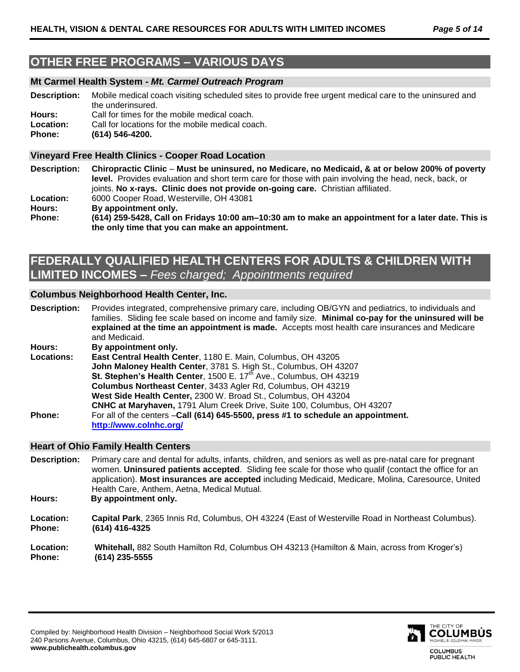# **OTHER FREE PROGRAMS – VARIOUS DAYS**

## **Mt Carmel Health System -** *Mt. Carmel Outreach Program*

**Description:** Mobile medical coach visiting scheduled sites to provide free urgent medical care to the uninsured and the underinsured. **Hours:** Call for times for the mobile medical coach.

**Location:** Call for locations for the mobile medical coach.

**Phone: (614) 546-4200.**

## **Vineyard Free Health Clinics - Cooper Road Location**

**Description: Chiropractic Clinic** – **Must be uninsured, no Medicare, no Medicaid, & at or below 200% of poverty level.** Provides evaluation and short term care for those with pain involving the head, neck, back, or joints. **No x-rays. Clinic does not provide on-going care.** Christian affiliated. **Location:** 6000 Cooper Road, Westerville, OH 43081 **Hours: By appointment only. Phone: (614) 259-5428, Call on Fridays 10:00 am–10:30 am to make an appointment for a later date. This is the only time that you can make an appointment.**

# **FEDERALLY QUALIFIED HEALTH CENTERS FOR ADULTS & CHILDREN WITH LIMITED INCOMES –** *Fees charged; Appointments required*

## **Columbus Neighborhood Health Center, Inc.**

**Description:** Provides integrated, comprehensive primary care, including OB/GYN and pediatrics, to individuals and families. Sliding fee scale based on income and family size. **Minimal co-pay for the uninsured will be explained at the time an appointment is made.** Accepts most health care insurances and Medicare and Medicaid.

**Hours: By appointment only.** 

**Locations: East Central Health Center**, 1180 E. Main, Columbus, OH 43205 **John Maloney Health Center**, 3781 S. High St., Columbus, OH 43207 St. Stephen's Health Center, 1500 E. 17<sup>th</sup> Ave., Columbus, OH 43219 **Columbus Northeast Center**, 3433 Agler Rd, Columbus, OH 43219 **West Side Health Center,** 2300 W. Broad St., Columbus, OH 43204 **CNHC at Maryhaven,** 1791 Alum Creek Drive, Suite 100, Columbus, OH 43207 **Phone:** For all of the centers –**Call (614) 645-5500, press #1 to schedule an appointment. <http://www.colnhc.org/>**

## **Heart of Ohio Family Health Centers**

**Description:** Primary care and dental for adults, infants, children, and seniors as well as pre-natal care for pregnant women. **Uninsured patients accepted**. Sliding fee scale for those who qualif (contact the office for an application). **Most insurances are accepted** including Medicaid, Medicare, Molina, Caresource, United Health Care, Anthem, Aetna, Medical Mutual.

**Hours: By appointment only.**

**Location: Capital Park**, 2365 Innis Rd, Columbus, OH 43224 (East of Westerville Road in Northeast Columbus). **Phone: (614) 416-4325**

**Location: Whitehall,** 882 South Hamilton Rd, Columbus OH 43213 (Hamilton & Main, across from Kroger's) **Phone: (614) 235-5555**



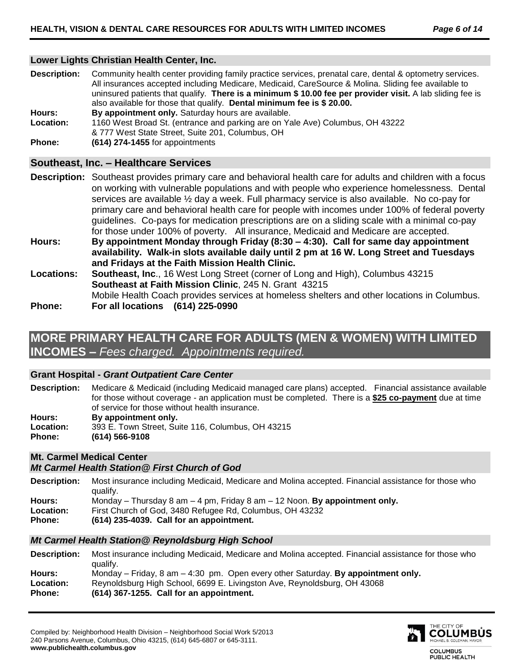## **Lower Lights Christian Health Center, Inc.**

**Description:** Community health center providing family practice services, prenatal care, dental & optometry services. All insurances accepted including Medicare, Medicaid, CareSource & Molina. Sliding fee available to uninsured patients that qualify. **There is a minimum \$ 10.00 fee per provider visit.** A lab sliding fee is also available for those that qualify. **Dental minimum fee is \$ 20.00. Hours: By appointment only.** Saturday hours are available.

- **Location:** 1160 West Broad St. (entrance and parking are on Yale Ave) Columbus, OH 43222 & 777 West State Street, Suite 201, Columbus, OH
- **Phone: (614) 274-1455** for appointments

## **Southeast, Inc. – Healthcare Services**

- **Description:** Southeast provides primary care and behavioral health care for adults and children with a focus on working with vulnerable populations and with people who experience homelessness. Dental services are available ½ day a week. Full pharmacy service is also available. No co-pay for primary care and behavioral health care for people with incomes under 100% of federal poverty guidelines. Co-pays for medication prescriptions are on a sliding scale with a minimal co-pay for those under 100% of poverty. All insurance, Medicaid and Medicare are accepted. **Hours: By appointment Monday through Friday (8:30 – 4:30). Call for same day appointment availability. Walk-in slots available daily until 2 pm at 16 W. Long Street and Tuesdays and Fridays at the Faith Mission Health Clinic. Locations: Southeast, Inc**., 16 West Long Street (corner of Long and High), Columbus 43215 **Southeast at Faith Mission Clinic**, 245 N. Grant 43215 Mobile Health Coach provides services at homeless shelters and other locations in Columbus.
- **Phone: For all locations (614) 225-0990**

# **MORE PRIMARY HEALTH CARE FOR ADULTS (MEN & WOMEN) WITH LIMITED INCOMES –** *Fees charged. Appointments required.*

## **Grant Hospital -** *Grant Outpatient Care Center*

- **Description:** Medicare & Medicaid (including Medicaid managed care plans) accepted. Financial assistance available for those without coverage - an application must be completed. There is a **\$25 co-payment** due at time of service for those without health insurance. **Hours: By appointment only. Location:** 393 E. Town Street, Suite 116, Columbus, OH 43215
- **Phone: (614) 566-9108**

## **Mt. Carmel Medical Center**

## *Mt Carmel Health Station@ First Church of God*

- **Description:** Most insurance including Medicaid, Medicare and Molina accepted. Financial assistance for those who qualify.
- **Hours:** Monday Thursday 8 am 4 pm, Friday 8 am 12 Noon. **By appointment only.**
- **Location:** First Church of God, 3480 Refugee Rd, Columbus, OH 43232
- **Phone: (614) 235-4039. Call for an appointment.**

## *Mt Carmel Health Station@ Reynoldsburg High School*

**Description:** Most insurance including Medicaid, Medicare and Molina accepted. Financial assistance for those who qualify. **Hours:** Monday – Friday, 8 am – 4:30 pm. Open every other Saturday. **By appointment only. Location:** Reynoldsburg High School, 6699 E. Livingston Ave, Reynoldsburg, OH 43068 **Phone: (614) 367-1255. Call for an appointment.**

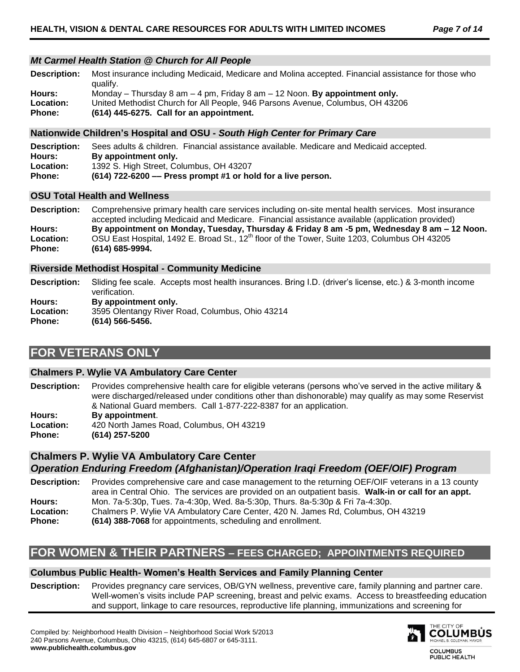## *Mt Carmel Health Station @ Church for All People*

**Description:** Most insurance including Medicaid, Medicare and Molina accepted. Financial assistance for those who qualify. **Hours:** Monday – Thursday 8 am – 4 pm, Friday 8 am – 12 Noon. **By appointment only. Location:** United Methodist Church for All People, 946 Parsons Avenue, Columbus, OH 43206 **Phone: (614) 445-6275. Call for an appointment.**

## **Nationwide Children's Hospital and OSU -** *South High Center for Primary Care*

**Description:** Sees adults & children. Financial assistance available. Medicare and Medicaid accepted. **Hours: By appointment only. Location:** 1392 S. High Street, Columbus, OH 43207 **Phone: (614) 722-6200 –– Press prompt #1 or hold for a live person.**

## **OSU Total Health and Wellness**

**Description:** Comprehensive primary health care services including on-site mental health services. Most insurance accepted including Medicaid and Medicare. Financial assistance available (application provided) **Hours: By appointment on Monday, Tuesday, Thursday & Friday 8 am -5 pm, Wednesday 8 am – 12 Noon. Location:** OSU East Hospital, 1492 E. Broad St., 12<sup>th</sup> floor of the Tower, Suite 1203, Columbus OH 43205 **Phone: (614) 685-9994.**

## **Riverside Methodist Hospital - Community Medicine**

**Description:** Sliding fee scale. Accepts most health insurances. Bring I.D. (driver's license, etc.) & 3-month income verification. **Hours: By appointment only. Location:** 3595 Olentangy River Road, Columbus, Ohio 43214 **Phone: (614) 566-5456.**

# **FOR VETERANS ONLY**

## **Chalmers P. Wylie VA Ambulatory Care Center**

**Description:** Provides comprehensive health care for eligible veterans (persons who've served in the active military & were discharged/released under conditions other than dishonorable) may qualify as may some Reservist & National Guard members. Call 1-877-222-8387 for an application.

**Hours: By appointment**. **Location:** 420 North James Road, Columbus, OH 43219 **Phone: (614) 257-5200**

**Chalmers P. Wylie VA Ambulatory Care Center** *Operation Enduring Freedom (Afghanistan)/Operation Iraqi Freedom (OEF/OIF) Program*

**Description:** Provides comprehensive care and case management to the returning OEF/OIF veterans in a 13 county area in Central Ohio. The services are provided on an outpatient basis. **Walk-in or call for an appt. Hours:** Mon. 7a-5:30p, Tues. 7a-4:30p, Wed. 8a-5:30p, Thurs. 8a-5:30p & Fri 7a-4:30p. **Location:** Chalmers P. Wylie VA Ambulatory Care Center, 420 N. James Rd, Columbus, OH 43219 **Phone:** (614) 388-7068 for appointments, scheduling and enrollment.

## **FOR WOMEN & THEIR PARTNERS – FEES CHARGED; APPOINTMENTS REQUIRED**

## **Columbus Public Health- Women's Health Services and Family Planning Center**

**Description:** Provides pregnancy care services, OB/GYN wellness, preventive care, family planning and partner care. Well-women's visits include PAP screening, breast and pelvic exams. Access to breastfeeding education and support, linkage to care resources, reproductive life planning, immunizations and screening for



**COLUMBUS** PUBLIC HEALTH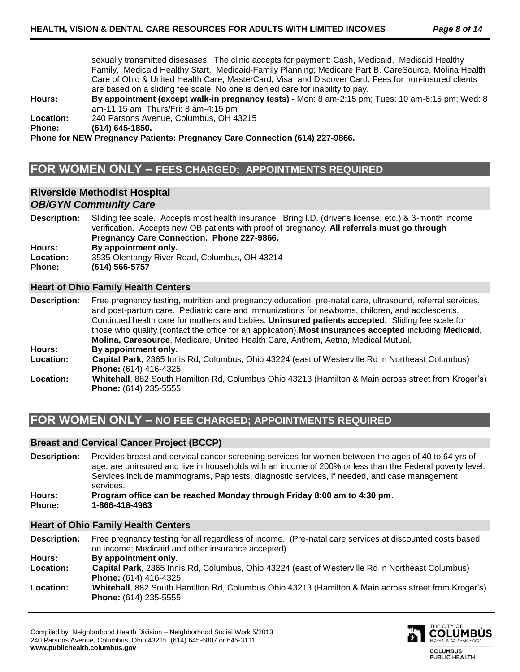sexually transmitted disesases. The clinic accepts for payment: Cash, Medicaid, Medicaid Healthy Family, Medicaid Healthy Start, Medicaid-Family Planning; Medicare Part B, CareSource, Molina Health Care of Ohio & United Health Care, MasterCard, Visa and Discover Card. Fees for non-insured clients are based on a sliding fee scale. No one is denied care for inability to pay.

**Hours: By appointment (except walk-in pregnancy tests) -** Mon: 8 am-2:15 pm; Tues: 10 am-6:15 pm; Wed: 8 am-11:15 am; Thurs/Fri: 8 am-4:15 pm

**Location:** 240 Parsons Avenue, Columbus, OH 43215

**Phone: (614) 645-1850.**

**Phone for NEW Pregnancy Patients: Pregnancy Care Connection (614) 227-9866.**

# **FOR WOMEN ONLY – FEES CHARGED; APPOINTMENTS REQUIRED**

## **Riverside Methodist Hospital**  *OB/GYN Community Care*

**Description:** Sliding fee scale. Accepts most health insurance. Bring I.D. (driver's license, etc.) & 3-month income verification. Accepts new OB patients with proof of pregnancy. **All referrals must go through Pregnancy Care Connection. Phone 227-9866. Hours: By appointment only. Location:** 3535 Olentangy River Road, Columbus, OH 43214

**Phone: (614) 566-5757**

## **Heart of Ohio Family Health Centers**

**Description:** Free pregnancy testing, nutrition and pregnancy education, pre-natal care, ultrasound, referral services, and post-partum care. Pediatric care and immunizations for newborns, children, and adolescents. Continued health care for mothers and babies. **Uninsured patients accepted.** Sliding fee scale for those who qualify (contact the office for an application).**Most insurances accepted** including **Medicaid, Molina, Caresource**, Medicare, United Health Care, Anthem, Aetna, Medical Mutual. **Hours: By appointment only. Location: Capital Park**, 2365 Innis Rd, Columbus, Ohio 43224 (east of Westerville Rd in Northeast Columbus) **Phone:** (614) 416-4325 **Location: Whitehall**, 882 South Hamilton Rd, Columbus Ohio 43213 (Hamilton & Main across street from Kroger's)

**Phone:** (614) 235-5555

# **FOR WOMEN ONLY – NO FEE CHARGED; APPOINTMENTS REQUIRED**

## **Breast and Cervical Cancer Project (BCCP)**

**Description:** Provides breast and cervical cancer screening services for women between the ages of 40 to 64 yrs of age, are uninsured and live in households with an income of 200% or less than the Federal poverty level. Services include mammograms, Pap tests, diagnostic services, if needed, and case management services.

**Hours: Program office can be reached Monday through Friday 8:00 am to 4:30 pm**. **Phone: 1-866-418-4963**

## **Heart of Ohio Family Health Centers**

**Description:** Free pregnancy testing for all regardless of income. (Pre-natal care services at discounted costs based on income; Medicaid and other insurance accepted) **Hours: By appointment only. Location: Capital Park**, 2365 Innis Rd, Columbus, Ohio 43224 (east of Westerville Rd in Northeast Columbus) **Phone:** (614) 416-4325 **Location: Whitehall**, 882 South Hamilton Rd, Columbus Ohio 43213 (Hamilton & Main across street from Kroger's) **Phone:** (614) 235-5555



**COLUMBUS** PUBLIC HEALTH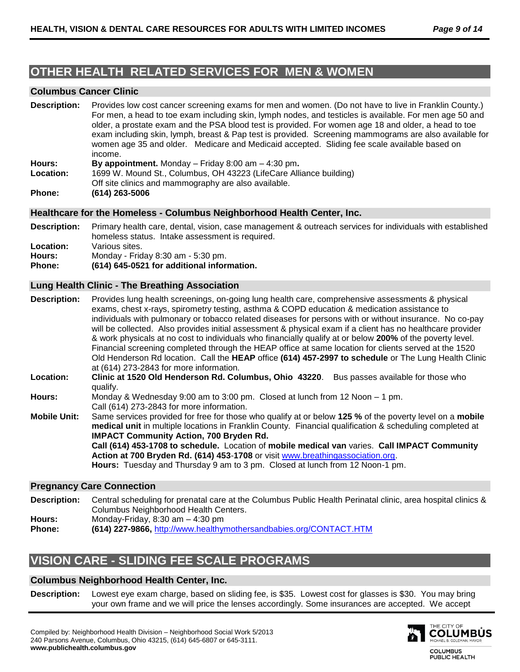# **OTHER HEALTH RELATED SERVICES FOR MEN & WOMEN**

## **Columbus Cancer Clinic**

| <b>Description:</b> | Provides low cost cancer screening exams for men and women. (Do not have to live in Franklin County.)<br>For men, a head to toe exam including skin, lymph nodes, and testicles is available. For men age 50 and<br>older, a prostate exam and the PSA blood test is provided. For women age 18 and older, a head to toe<br>exam including skin, lymph, breast & Pap test is provided. Screening mammograms are also available for<br>women age 35 and older. Medicare and Medicaid accepted. Sliding fee scale available based on |
|---------------------|------------------------------------------------------------------------------------------------------------------------------------------------------------------------------------------------------------------------------------------------------------------------------------------------------------------------------------------------------------------------------------------------------------------------------------------------------------------------------------------------------------------------------------|
|                     | income.                                                                                                                                                                                                                                                                                                                                                                                                                                                                                                                            |
| L                   | $\mathbf{P}$ annountment Mondoy $\mathbf{E}$ $\mathbf{E}$ $\mathbf{E}$ $\mathbf{E}$ $\mathbf{E}$ $\mathbf{E}$ $\mathbf{E}$ $\mathbf{E}$ $\mathbf{E}$ $\mathbf{E}$ $\mathbf{E}$ $\mathbf{E}$ $\mathbf{E}$ $\mathbf{E}$ $\mathbf{E}$ $\mathbf{E}$ $\mathbf{E}$ $\mathbf{E}$ $\mathbf{E}$ $\mathbf{E}$ $\mathbf{E}$ $\mathbf$                                                                                                                                                                                                         |

**Hours: By appointment.** Monday – Friday 8:00 am – 4:30 pm**.**

- **Location:** 1699 W. Mound St., Columbus, OH 43223 (LifeCare Alliance building)
- Off site clinics and mammography are also available.
- **Phone: (614) 263-5006**

## **Healthcare for the Homeless - Columbus Neighborhood Health Center, Inc.**

- **Description:** Primary health care, dental, vision, case management & outreach services for individuals with established homeless status. Intake assessment is required.
- **Location:** Various sites.
- **Hours:** Monday Friday 8:30 am 5:30 pm.
- **Phone: (614) 645-0521 for additional information.**

## **Lung Health Clinic - The Breathing Association**

**Description:** Provides lung health screenings, on-going lung health care, comprehensive assessments & physical exams, chest x-rays, spirometry testing, asthma & COPD education & medication assistance to individuals with pulmonary or tobacco related diseases for persons with or without insurance. No co-pay will be collected. Also provides initial assessment & physical exam if a client has no healthcare provider & work physicals at no cost to individuals who financially qualify at or below **200%** of the poverty level. Financial screening completed through the HEAP office at same location for clients served at the 1520 Old Henderson Rd location. Call the **HEAP** office **(614) 457-2997 to schedule** or The Lung Health Clinic at (614) 273-2843 for more information.

- **Location: Clinic at 1520 Old Henderson Rd. Columbus, Ohio 43220**. Bus passes available for those who qualify.
- **Hours:** Monday & Wednesday 9:00 am to 3:00 pm. Closed at lunch from 12 Noon 1 pm. Call (614) 273-2843 for more information.
- **Mobile Unit:** Same services provided for free for those who qualify at or below **125 %** of the poverty level on a **mobile medical unit** in multiple locations in Franklin County. Financial qualification & scheduling completed at **IMPACT Community Action, 700 Bryden Rd.**

**Call (614) 453-1708 to schedule.** Location of **mobile medical van** varies. **Call IMPACT Community Action at 700 Bryden Rd. (614) 453**-**1708** or visit [www.breathingassociation.org.](http://www.breathingassociation.org/) **Hours:** Tuesday and Thursday 9 am to 3 pm. Closed at lunch from 12 Noon-1 pm.

## **Pregnancy Care Connection**

- **Description:** Central scheduling for prenatal care at the Columbus Public Health Perinatal clinic, area hospital clinics & Columbus Neighborhood Health Centers.
- **Hours:** Monday-Friday, 8:30 am 4:30 pm

**Phone: (614) 227-9866,** <http://www.healthymothersandbabies.org/CONTACT.HTM>

# **VISION CARE - SLIDING FEE SCALE PROGRAMS**

## **Columbus Neighborhood Health Center, Inc.**

**Description:** Lowest eye exam charge, based on sliding fee, is \$35. Lowest cost for glasses is \$30. You may bring your own frame and we will price the lenses accordingly. Some insurances are accepted. We accept



PUBLIC HEALTH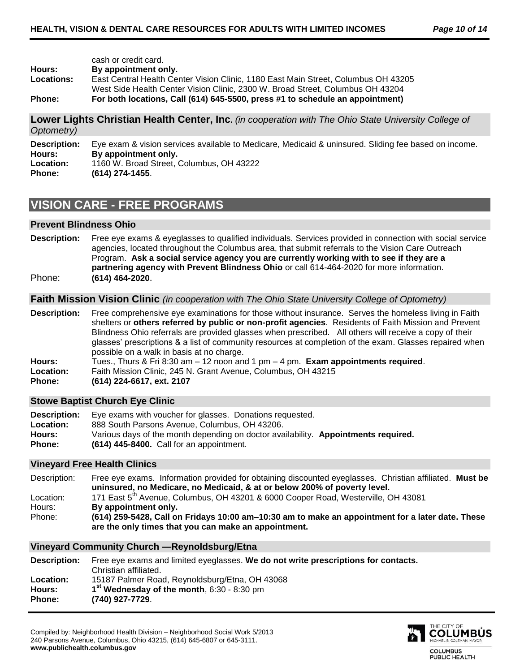|                   | cash or credit card.                                                               |
|-------------------|------------------------------------------------------------------------------------|
| Hours:            | By appointment only.                                                               |
| <b>Locations:</b> | East Central Health Center Vision Clinic, 1180 East Main Street, Columbus OH 43205 |
|                   | West Side Health Center Vision Clinic. 2300 W. Broad Street. Columbus OH 43204     |
| Phone:            | For both locations, Call (614) 645-5500, press #1 to schedule an appointment)      |

**Lower Lights Christian Health Center, Inc.** *(in cooperation with The Ohio State University College of Optometry)*

**Description:** Eye exam & vision services available to Medicare, Medicaid & uninsured. Sliding fee based on income. **Hours: By appointment only. Location:** 1160 W. Broad Street, Columbus, OH 43222 **Phone: (614) 274-1455**.

# **VISION CARE - FREE PROGRAMS**

## **Prevent Blindness Ohio**

**Description:** Free eye exams & eyeglasses to qualified individuals. Services provided in connection with social service agencies, located throughout the Columbus area, that submit referrals to the Vision Care Outreach Program. **Ask a social service agency you are currently working with to see if they are a partnering agency with Prevent Blindness Ohio** or call 614-464-2020 for more information. Phone: **(614) 464-2020**.

## **Faith Mission Vision Clinic** *(in cooperation with The Ohio State University College of Optometry)*

**Description:** Free comprehensive eye examinations for those without insurance. Serves the homeless living in Faith shelters or **others referred by public or non-profit agencies**. Residents of Faith Mission and Prevent Blindness Ohio referrals are provided glasses when prescribed. All others will receive a copy of their glasses' prescriptions & a list of community resources at completion of the exam. Glasses repaired when possible on a walk in basis at no charge. **Hours:** Tues., Thurs & Fri 8:30 am – 12 noon and 1 pm – 4 pm. **Exam appointments required**.

- 
- **Location:** Faith Mission Clinic, 245 N. Grant Avenue, Columbus, OH 43215
- **Phone: (614) 224-6617, ext. 2107**

## **Stowe Baptist Church Eye Clinic**

| Description:     | Eye exams with voucher for glasses. Donations requested.                           |
|------------------|------------------------------------------------------------------------------------|
| <b>Location:</b> | 888 South Parsons Avenue. Columbus. OH 43206.                                      |
| Hours:           | Various days of the month depending on doctor availability. Appointments required. |
| <b>Phone:</b>    | $(614)$ 445-8400. Call for an appointment.                                         |

## **Vineyard Free Health Clinics**

| Free eye exams. Information provided for obtaining discounted eyeglasses. Christian affiliated. Must be                                                  |  |  |  |
|----------------------------------------------------------------------------------------------------------------------------------------------------------|--|--|--|
| uninsured, no Medicare, no Medicaid, & at or below 200% of poverty level.                                                                                |  |  |  |
| 171 East 5 <sup>th</sup> Avenue, Columbus, OH 43201 & 6000 Cooper Road, Westerville, OH 43081                                                            |  |  |  |
| By appointment only.                                                                                                                                     |  |  |  |
| (614) 259-5428, Call on Fridays 10:00 am–10:30 am to make an appointment for a later date. These<br>are the only times that you can make an appointment. |  |  |  |
|                                                                                                                                                          |  |  |  |

#### **Vineyard Community Church —Reynoldsburg/Etna Description:** Free eye exams and limited eyeglasses. **We do not write prescriptions for contacts.** Christian affiliated. **Location:** 15187 Palmer Road, Reynoldsburg/Etna, OH 43068 **Hours: 1 st Wednesday of the month**, 6:30 - 8:30 pm **Phone: (740) 927-7729**.

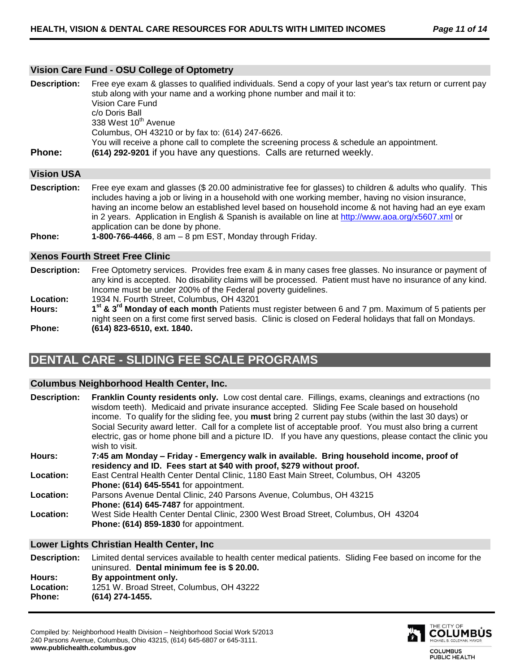## **Vision Care Fund - OSU College of Optometry**

| <b>Description:</b> | Free eye exam & glasses to qualified individuals. Send a copy of your last year's tax return or current pay<br>stub along with your name and a working phone number and mail it to:<br>Vision Care Fund<br>c/o Doris Ball<br>338 West 10 <sup>th</sup> Avenue |
|---------------------|---------------------------------------------------------------------------------------------------------------------------------------------------------------------------------------------------------------------------------------------------------------|
| Phone:              | Columbus, OH 43210 or by fax to: (614) 247-6626.<br>You will receive a phone call to complete the screening process & schedule an appointment.<br>(614) 292-9201 if you have any questions. Calls are returned weekly.                                        |

## **Vision USA**

**Description:** Free eye exam and glasses (\$ 20.00 administrative fee for glasses) to children & adults who qualify. This includes having a job or living in a household with one working member, having no vision insurance, having an income below an established level based on household income & not having had an eye exam in 2 years. Application in English & Spanish is available on line at<http://www.aoa.org/x5607.xml> or application can be done by phone.

**Phone: 1-800-766-4466**, 8 am – 8 pm EST, Monday through Friday.

## **Xenos Fourth Street Free Clinic**

**Description:** Free Optometry services. Provides free exam & in many cases free glasses. No insurance or payment of any kind is accepted. No disability claims will be processed. Patient must have no insurance of any kind. Income must be under 200% of the Federal poverty guidelines. **Location:** 1934 N. Fourth Street, Columbus, OH 43201 **Hours: 1 st & 3 rd Monday of each month** Patients must register between 6 and 7 pm. Maximum of 5 patients per

night seen on a first come first served basis. Clinic is closed on Federal holidays that fall on Mondays. **Phone: (614) 823-6510, ext. 1840.**

# **DENTAL CARE - SLIDING FEE SCALE PROGRAMS**

## **Columbus Neighborhood Health Center, Inc.**

**Description: Franklin County residents only.** Low cost dental care. Fillings, exams, cleanings and extractions (no wisdom teeth). Medicaid and private insurance accepted. Sliding Fee Scale based on household income. To qualify for the sliding fee, you **must** bring 2 current pay stubs (within the last 30 days) or Social Security award letter. Call for a complete list of acceptable proof. You must also bring a current electric, gas or home phone bill and a picture ID. If you have any questions, please contact the clinic you wish to visit. **Hours: 7:45 am Monday – Friday - Emergency walk in available. Bring household income, proof of residency and ID. Fees start at \$40 with proof, \$279 without proof. Location:** East Central Health Center Dental Clinic, 1180 East Main Street, Columbus, OH 43205 **Phone: (614) 645-5541** for appointment. **Location:** Parsons Avenue Dental Clinic, 240 Parsons Avenue, Columbus, OH 43215 **Phone: (614) 645-7487** for appointment. **Location:** West Side Health Center Dental Clinic, 2300 West Broad Street, Columbus, OH 43204 **Phone: (614) 859-1830** for appointment.

## **Lower Lights Christian Health Center, Inc**

| <b>Description:</b> | Limited dental services available to health center medical patients. Sliding Fee based on income for the<br>uninsured. Dental minimum fee is \$20.00. |  |
|---------------------|-------------------------------------------------------------------------------------------------------------------------------------------------------|--|
| Hours:              | By appointment only.                                                                                                                                  |  |
| <b>Location:</b>    | 1251 W. Broad Street, Columbus, OH 43222                                                                                                              |  |
| <b>Phone:</b>       | $(614)$ 274-1455.                                                                                                                                     |  |

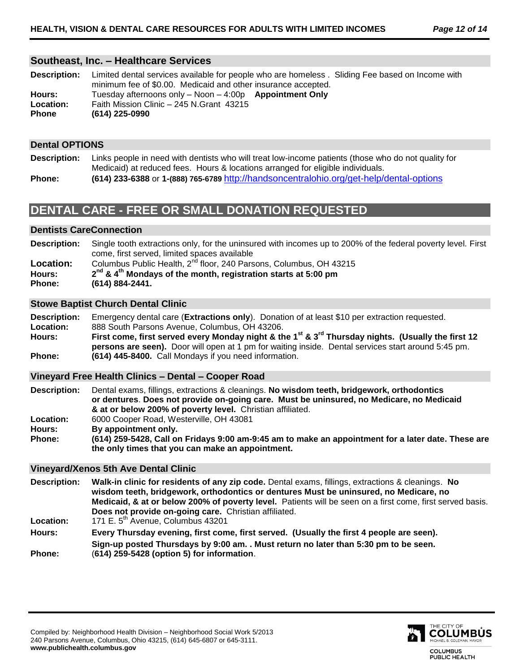## **Southeast, Inc. – Healthcare Services**

| <b>Description:</b>        | Limited dental services available for people who are homeless. Sliding Fee based on Income with<br>minimum fee of \$0.00. Medicaid and other insurance accepted. |
|----------------------------|------------------------------------------------------------------------------------------------------------------------------------------------------------------|
| Hours:<br><b>Location:</b> | Tuesday afternoons only - Noon - 4:00p Appointment Only<br>Faith Mission Clinic - 245 N.Grant 43215                                                              |
| <b>Phone</b>               | $(614)$ 225-0990                                                                                                                                                 |

## **Dental OPTIONS**

- **Description:** Links people in need with dentists who will treat low-income patients (those who do not quality for Medicaid) at reduced fees. Hours & locations arranged for eligible individuals.
- **Phone: (614) 233-6388** or **1-(888) 765-6789** <http://handsoncentralohio.org/get-help/dental-options>

# **DENTAL CARE - FREE OR SMALL DONATION REQUESTED**

## **Dentists CareConnection**

| <b>Description:</b> | Single tooth extractions only, for the uninsured with incomes up to 200% of the federal poverty level. First |
|---------------------|--------------------------------------------------------------------------------------------------------------|
|                     | come, first served, limited spaces available                                                                 |
| Location:           | Columbus Public Health, 2 <sup>nd</sup> floor, 240 Parsons, Columbus, OH 43215                               |
| Hours:              | $2nd$ & 4 <sup>th</sup> Mondays of the month, registration starts at 5:00 pm                                 |
| Phone:              | (614) 884-2441.                                                                                              |
|                     |                                                                                                              |

## **Stowe Baptist Church Dental Clinic**

**Description:** Emergency dental care (**Extractions only**). Donation of at least \$10 per extraction requested. **Location:** 888 South Parsons Avenue, Columbus, OH 43206. **Hours: First come, first served every Monday night & the 1 st & 3rd Thursday nights. (Usually the first 12 persons are seen).** Door will open at 1 pm for waiting inside. Dental services start around 5:45 pm. **Phone: (614) 445-8400.** Call Mondays if you need information.

## **Vineyard Free Health Clinics – Dental – Cooper Road**

| <b>Description:</b> | Dental exams, fillings, extractions & cleanings. No wisdom teeth, bridgework, orthodontics         |
|---------------------|----------------------------------------------------------------------------------------------------|
|                     | or dentures. Does not provide on-going care. Must be uninsured, no Medicare, no Medicaid           |
|                     | & at or below 200% of poverty level. Christian affiliated.                                         |
| Location:           | 6000 Cooper Road, Westerville, OH 43081                                                            |
| Hours:              | By appointment only.                                                                               |
| Phone:              | (614) 259-5428, Call on Fridays 9:00 am-9:45 am to make an appointment for a later date. These are |
|                     | the only times that you can make an appointment.                                                   |

## **Vineyard/Xenos 5th Ave Dental Clinic**

**Description: Walk-in clinic for residents of any zip code.** Dental exams, fillings, extractions & cleanings. **No wisdom teeth, bridgework, orthodontics or dentures Must be uninsured, no Medicare, no Medicaid, & at or below 200% of poverty level.** Patients will be seen on a first come, first served basis. **Does not provide on-going care.** Christian affiliated.

Location: 171 E. 5<sup>th</sup> Avenue, Columbus 43201

**Hours: Every Thursday evening, first come, first served. (Usually the first 4 people are seen). Sign-up posted Thursdays by 9:00 am. . Must return no later than 5:30 pm to be seen. Phone:** (**614) 259-5428 (option 5) for information**.

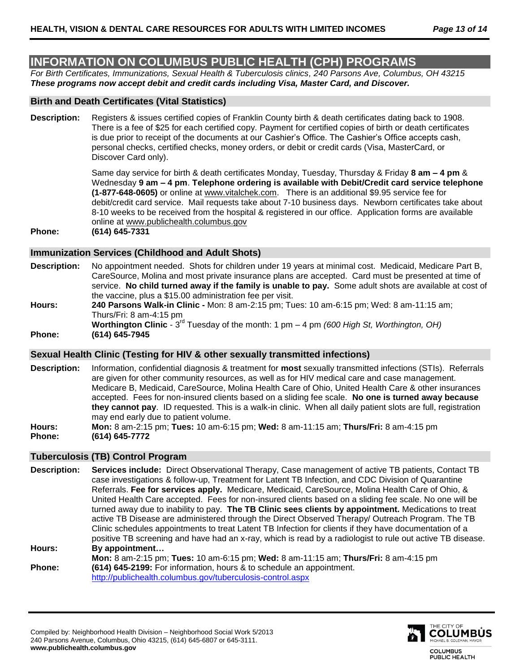# **INFORMATION ON COLUMBUS PUBLIC HEALTH (CPH) PROGRAMS**

*For Birth Certificates, Immunizations, Sexual Health & Tuberculosis clinics, 240 Parsons Ave, Columbus, OH 43215 These programs now accept debit and credit cards including Visa, Master Card, and Discover.*

## **Birth and Death Certificates (Vital Statistics)**

**Description:** Registers & issues certified copies of Franklin County birth & death certificates dating back to 1908. There is a fee of \$25 for each certified copy. Payment for certified copies of birth or death certificates is due prior to receipt of the documents at our Cashier's Office. The Cashier's Office accepts cash, personal checks, certified checks, money orders, or debit or credit cards (Visa, MasterCard, or Discover Card only).

> Same day service for birth & death certificates Monday, Tuesday, Thursday & Friday **8 am – 4 pm** & Wednesday **9 am – 4 pm**. **Telephone ordering is available with Debit/Credit card service telephone (1-877-648-0605)** or online at [www.vitalchek.com.](http://www.vitalchek.com/) There is an additional \$9.95 service fee for debit/credit card service. Mail requests take about 7-10 business days. Newborn certificates take about 8-10 weeks to be received from the hospital & registered in our office. Application forms are available online at [www.publichealth.columbus.gov](http://www.publichealth.columbus.gov/)

**Phone: (614) 645-7331** 

## **Immunization Services (Childhood and Adult Shots)**

- **Description:** No appointment needed. Shots for children under 19 years at minimal cost. Medicaid, Medicare Part B, CareSource, Molina and most private insurance plans are accepted. Card must be presented at time of service. **No child turned away if the family is unable to pay.** Some adult shots are available at cost of the vaccine, plus a \$15.00 administration fee per visit.
- **Hours: 240 Parsons Walk-in Clinic -** Mon: 8 am-2:15 pm; Tues: 10 am-6:15 pm; Wed: 8 am-11:15 am; Thurs/Fri: 8 am-4:15 pm
- Worthington Clinic 3<sup>rd</sup> Tuesday of the month: 1 pm 4 pm *(600 High St, Worthington, OH)* **Phone: (614) 645-7945**

## **Sexual Health Clinic (Testing for HIV & other sexually transmitted infections)**

- **Description:** Information, confidential diagnosis & treatment for **most** sexually transmitted infections (STIs). Referrals are given for other community resources, as well as for HIV medical care and case management. Medicare B, Medicaid, CareSource, Molina Health Care of Ohio, United Health Care & other insurances accepted. Fees for non-insured clients based on a sliding fee scale. **No one is turned away because they cannot pay**. ID requested. This is a walk-in clinic. When all daily patient slots are full, registration may end early due to patient volume.
- **Hours: Mon:** 8 am-2:15 pm; **Tues:** 10 am-6:15 pm; **Wed:** 8 am-11:15 am; **Thurs/Fri:** 8 am-4:15 pm **Phone: (614) 645-7772**

## **Tuberculosis (TB) Control Program**

- **Description: Services include:** Direct Observational Therapy, Case management of active TB patients, Contact TB case investigations & follow-up, Treatment for Latent TB Infection, and CDC Division of Quarantine Referrals. **Fee for services apply.** Medicare, Medicaid, CareSource, Molina Health Care of Ohio, & United Health Care accepted. Fees for non-insured clients based on a sliding fee scale. No one will be turned away due to inability to pay. **The TB Clinic sees clients by appointment.** Medications to treat active TB Disease are administered through the Direct Observed Therapy/ Outreach Program. The TB Clinic schedules appointments to treat Latent TB Infection for clients if they have documentation of a positive TB screening and have had an x-ray, which is read by a radiologist to rule out active TB disease. **Hours: By appointment… Mon:** 8 am-2:15 pm; **Tues:** 10 am-6:15 pm; **Wed:** 8 am-11:15 am; **Thurs/Fri:** 8 am-4:15 pm
- **Phone: (614) 645-2199:** For information, hours & to schedule an appointment. <http://publichealth.columbus.gov/tuberculosis-control.aspx>